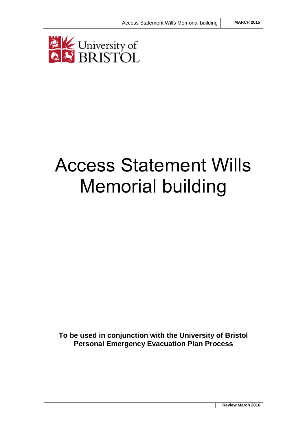

# Access Statement Wills Memorial building

**To be used in conjunction with the University of Bristol Personal Emergency Evacuation Plan Process**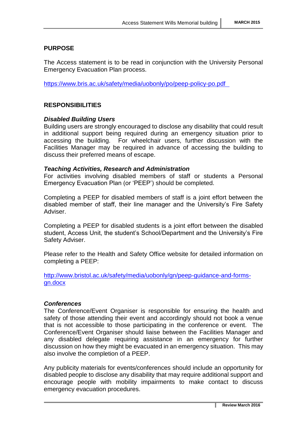# **PURPOSE**

The Access statement is to be read in conjunction with the University Personal Emergency Evacuation Plan process.

[https://www.bris.ac.uk/safety/media/uobonly/po/peep-policy-po.pdf](https://www.bris.ac.uk/safety/media/uobonly/po/peep-policy-po.pdf%09)

## **RESPONSIBILITIES**

## *Disabled Building Users*

Building users are strongly encouraged to disclose any disability that could result in additional support being required during an emergency situation prior to accessing the building. For wheelchair users, further discussion with the Facilities Manager may be required in advance of accessing the building to discuss their preferred means of escape.

#### *Teaching Activities, Research and Administration*

For activities involving disabled members of staff or students a Personal Emergency Evacuation Plan (or 'PEEP') should be completed.

Completing a PEEP for disabled members of staff is a joint effort between the disabled member of staff, their line manager and the University's Fire Safety Adviser.

Completing a PEEP for disabled students is a joint effort between the disabled student, Access Unit, the student's School/Department and the University's Fire Safety Adviser.

Please refer to the Health and Safety Office website for detailed information on completing a PEEP:

[http://www.bristol.ac.uk/safety/media/uobonly/gn/peep-guidance-and-forms](http://www.bristol.ac.uk/safety/media/uobonly/gn/peep-guidance-and-forms-gn.docx)[gn.docx](http://www.bristol.ac.uk/safety/media/uobonly/gn/peep-guidance-and-forms-gn.docx)

#### *Conferences*

The Conference/Event Organiser is responsible for ensuring the health and safety of those attending their event and accordingly should not book a venue that is not accessible to those participating in the conference or event. The Conference/Event Organiser should liaise between the Facilities Manager and any disabled delegate requiring assistance in an emergency for further discussion on how they might be evacuated in an emergency situation. This may also involve the completion of a PEEP.

Any publicity materials for events/conferences should include an opportunity for disabled people to disclose any disability that may require additional support and encourage people with mobility impairments to make contact to discuss emergency evacuation procedures.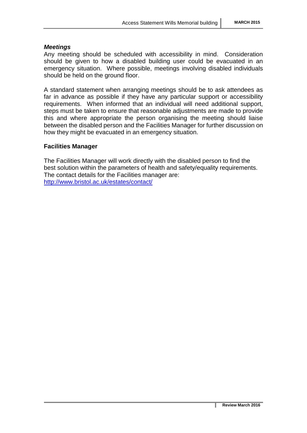#### *Meetings*

Any meeting should be scheduled with accessibility in mind. Consideration should be given to how a disabled building user could be evacuated in an emergency situation. Where possible, meetings involving disabled individuals should be held on the ground floor.

A standard statement when arranging meetings should be to ask attendees as far in advance as possible if they have any particular support or accessibility requirements. When informed that an individual will need additional support, steps must be taken to ensure that reasonable adjustments are made to provide this and where appropriate the person organising the meeting should liaise between the disabled person and the Facilities Manager for further discussion on how they might be evacuated in an emergency situation.

#### **Facilities Manager**

The Facilities Manager will work directly with the disabled person to find the best solution within the parameters of health and safety/equality requirements. The contact details for the Facilities manager are: <http://www.bristol.ac.uk/estates/contact/>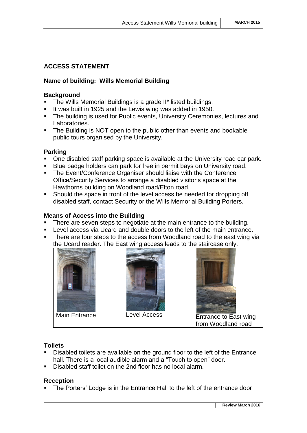# **ACCESS STATEMENT**

# **Name of building: Wills Memorial Building**

#### **Background**

- **The Wills Memorial Buildings is a grade II\* listed buildings.**
- It was built in 1925 and the Lewis wing was added in 1950.
- **The building is used for Public events, University Ceremonies, lectures and** Laboratories.
- The Building is NOT open to the public other than events and bookable public tours organised by the University.

## **Parking**

- One disabled staff parking space is available at the University road car park.
- Blue badge holders can park for free in permit bays on University road.
- **The Event/Conference Organiser should liaise with the Conference** Office/Security Services to arrange a disabled visitor's space at the Hawthorns building on Woodland road/Elton road.
- Should the space in front of the level access be needed for dropping off disabled staff, contact Security or the Wills Memorial Building Porters.

## **Means of Access into the Building**

- There are seven steps to negotiate at the main entrance to the building.
- Level access via Ucard and double doors to the left of the main entrance.
- There are four steps to the access from Woodland road to the east wing via the Ucard reader. The East wing access leads to the staircase only.







Main Entrance | Level Access | Entrance to East wing from Woodland road

## **Toilets**

- Disabled toilets are available on the ground floor to the left of the Entrance hall. There is a local audible alarm and a "Touch to open" door.
- Disabled staff toilet on the 2nd floor has no local alarm.

## **Reception**

The Porters' Lodge is in the Entrance Hall to the left of the entrance door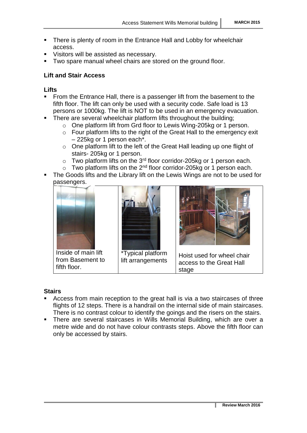- There is plenty of room in the Entrance Hall and Lobby for wheelchair access.
- Visitors will be assisted as necessary.
- Two spare manual wheel chairs are stored on the ground floor.

# **Lift and Stair Access**

# **Lifts**

- From the Entrance Hall, there is a passenger lift from the basement to the fifth floor. The lift can only be used with a security code. Safe load is 13 persons or 1000kg. The lift is NOT to be used in an emergency evacuation.
- <span id="page-4-0"></span>• There are several wheelchair platform lifts throughout the building;
	- o One platform lift from Grd floor to Lewis Wing-205kg or 1 person.
	- o Four platform lifts to the right of the Great Hall to the emergency exit – 225kg or 1 person each\*.
	- o One platform lift to the left of the Great Hall leading up one flight of stairs- 205kg or 1 person.
	- $\circ$  Two platform lifts on the 3<sup>rd</sup> floor corridor-205kg or 1 person each.
	- $\circ$  Two platform lifts on the 2<sup>nd</sup> floor corridor-205kg or 1 person each.
- The Goods lifts and the Library lift on the Lewis Wings are not to be used for passengers.



Inside of main lift from Basement to fifth floor.



\*Typical platform lift arrangements



Hoist used for wheel chair access to the Great Hall stage

## **Stairs**

- Access from main reception to the great hall is via a two staircases of three flights of 12 steps. There is a handrail on the internal side of main staircases. There is no contrast colour to identify the goings and the risers on the stairs.
- There are several staircases in Wills Memorial Building, which are over a metre wide and do not have colour contrasts steps. Above the fifth floor can only be accessed by stairs.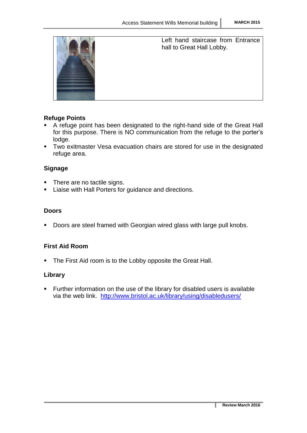

Left hand staircase from Entrance hall to Great Hall Lobby.

# **Refuge Points**

- A refuge point has been designated to the right-hand side of the Great Hall for this purpose. There is NO communication from the refuge to the porter's lodge.
- **Two exitmaster Vesa evacuation chairs are stored for use in the designated** refuge area.

# **Signage**

- There are no tactile signs.
- **EXEC** Liaise with Hall Porters for guidance and directions.

# **Doors**

**Doors are steel framed with Georgian wired glass with large pull knobs.** 

# **First Aid Room**

• The First Aid room is to the Lobby opposite the Great Hall.

## **Library**

 Further information on the use of the library for disabled users is available via the web link. <http://www.bristol.ac.uk/library/using/disabledusers/>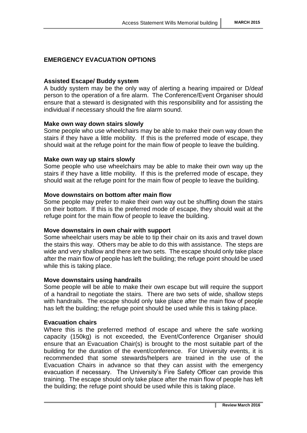# **EMERGENCY EVACUATION OPTIONS**

## **Assisted Escape/ Buddy system**

A buddy system may be the only way of alerting a hearing impaired or D/deaf person to the operation of a fire alarm. The Conference/Event Organiser should ensure that a steward is designated with this responsibility and for assisting the individual if necessary should the fire alarm sound.

## **Make own way down stairs slowly**

Some people who use wheelchairs may be able to make their own way down the stairs if they have a little mobility. If this is the preferred mode of escape, they should wait at the refuge point for the main flow of people to leave the building.

#### **Make own way up stairs slowly**

Some people who use wheelchairs may be able to make their own way up the stairs if they have a little mobility. If this is the preferred mode of escape, they should wait at the refuge point for the main flow of people to leave the building.

#### **Move downstairs on bottom after main flow**

Some people may prefer to make their own way out be shuffling down the stairs on their bottom. If this is the preferred mode of escape, they should wait at the refuge point for the main flow of people to leave the building.

## **Move downstairs in own chair with support**

Some wheelchair users may be able to tip their chair on its axis and travel down the stairs this way. Others may be able to do this with assistance. The steps are wide and very shallow and there are two sets. The escape should only take place after the main flow of people has left the building; the refuge point should be used while this is taking place.

## **Move downstairs using handrails**

Some people will be able to make their own escape but will require the support of a handrail to negotiate the stairs. There are two sets of wide, shallow steps with handrails. The escape should only take place after the main flow of people has left the building; the refuge point should be used while this is taking place.

## **Evacuation chairs**

Where this is the preferred method of escape and where the safe working capacity (150kg) is not exceeded, the Event/Conference Organiser should ensure that an Evacuation Chair(s) is brought to the most suitable part of the building for the duration of the event/conference. For University events, it is recommended that some stewards/helpers are trained in the use of the Evacuation Chairs in advance so that they can assist with the emergency evacuation if necessary. The University's Fire Safety Officer can provide this training. The escape should only take place after the main flow of people has left the building; the refuge point should be used while this is taking place.